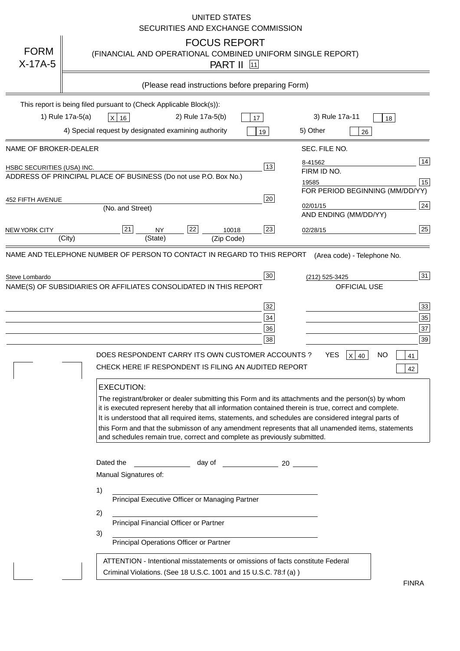|                                                                                     |                                                                     |                                    |                                                                                                                                      |                  | <b>UNITED STATES</b>                       | SECURITIES AND EXCHANGE COMMISSION                                                                                                                                                                                 |          |                                                                                                                                                                                                                                                                                                                                                                                                                                                             |                           |                                        |
|-------------------------------------------------------------------------------------|---------------------------------------------------------------------|------------------------------------|--------------------------------------------------------------------------------------------------------------------------------------|------------------|--------------------------------------------|--------------------------------------------------------------------------------------------------------------------------------------------------------------------------------------------------------------------|----------|-------------------------------------------------------------------------------------------------------------------------------------------------------------------------------------------------------------------------------------------------------------------------------------------------------------------------------------------------------------------------------------------------------------------------------------------------------------|---------------------------|----------------------------------------|
| <b>FORM</b><br>$X-17A-5$                                                            |                                                                     |                                    |                                                                                                                                      |                  | <b>FOCUS REPORT</b><br><b>PART II</b> [11] |                                                                                                                                                                                                                    |          | (FINANCIAL AND OPERATIONAL COMBINED UNIFORM SINGLE REPORT)                                                                                                                                                                                                                                                                                                                                                                                                  |                           |                                        |
|                                                                                     |                                                                     |                                    |                                                                                                                                      |                  |                                            | (Please read instructions before preparing Form)                                                                                                                                                                   |          |                                                                                                                                                                                                                                                                                                                                                                                                                                                             |                           |                                        |
|                                                                                     | This report is being filed pursuant to (Check Applicable Block(s)): |                                    |                                                                                                                                      |                  |                                            |                                                                                                                                                                                                                    |          |                                                                                                                                                                                                                                                                                                                                                                                                                                                             |                           |                                        |
|                                                                                     | 1) Rule 17a-5(a)                                                    | $X$ 16                             |                                                                                                                                      | 2) Rule 17a-5(b) |                                            | 17                                                                                                                                                                                                                 |          | 3) Rule 17a-11                                                                                                                                                                                                                                                                                                                                                                                                                                              |                           | 18                                     |
|                                                                                     | 4) Special request by designated examining authority                |                                    |                                                                                                                                      |                  |                                            | 19                                                                                                                                                                                                                 | 5) Other |                                                                                                                                                                                                                                                                                                                                                                                                                                                             | 26                        |                                        |
| NAME OF BROKER-DEALER                                                               |                                                                     |                                    |                                                                                                                                      |                  |                                            |                                                                                                                                                                                                                    |          | SEC. FILE NO.                                                                                                                                                                                                                                                                                                                                                                                                                                               |                           |                                        |
| HSBC SECURITIES (USA) INC.                                                          |                                                                     |                                    |                                                                                                                                      |                  |                                            | 13                                                                                                                                                                                                                 | 8-41562  |                                                                                                                                                                                                                                                                                                                                                                                                                                                             |                           | 14                                     |
| ADDRESS OF PRINCIPAL PLACE OF BUSINESS (Do not use P.O. Box No.)                    |                                                                     |                                    |                                                                                                                                      |                  |                                            |                                                                                                                                                                                                                    | 19585    | FIRM ID NO.                                                                                                                                                                                                                                                                                                                                                                                                                                                 |                           | 15                                     |
|                                                                                     |                                                                     |                                    |                                                                                                                                      |                  |                                            |                                                                                                                                                                                                                    |          |                                                                                                                                                                                                                                                                                                                                                                                                                                                             |                           | FOR PERIOD BEGINNING (MM/DD/YY)        |
| 452 FIFTH AVENUE                                                                    |                                                                     | (No. and Street)                   |                                                                                                                                      |                  |                                            | 20                                                                                                                                                                                                                 | 02/01/15 |                                                                                                                                                                                                                                                                                                                                                                                                                                                             |                           | 24                                     |
|                                                                                     |                                                                     |                                    |                                                                                                                                      |                  |                                            |                                                                                                                                                                                                                    |          | AND ENDING (MM/DD/YY)                                                                                                                                                                                                                                                                                                                                                                                                                                       |                           |                                        |
| <b>NEW YORK CITY</b>                                                                | (City)                                                              | 21                                 | <b>NY</b><br>(State)                                                                                                                 | 22               | 10018<br>(Zip Code)                        | 23                                                                                                                                                                                                                 | 02/28/15 |                                                                                                                                                                                                                                                                                                                                                                                                                                                             |                           | 25                                     |
| NAME AND TELEPHONE NUMBER OF PERSON TO CONTACT IN REGARD TO THIS REPORT             |                                                                     |                                    |                                                                                                                                      |                  |                                            |                                                                                                                                                                                                                    |          | (Area code) - Telephone No.                                                                                                                                                                                                                                                                                                                                                                                                                                 |                           |                                        |
| Steve Lombardo<br>NAME(S) OF SUBSIDIARIES OR AFFILIATES CONSOLIDATED IN THIS REPORT |                                                                     | <b>EXECUTION:</b>                  |                                                                                                                                      |                  |                                            | 30<br>32<br>34<br>36<br>38<br>DOES RESPONDENT CARRY ITS OWN CUSTOMER ACCOUNTS?<br>CHECK HERE IF RESPONDENT IS FILING AN AUDITED REPORT<br>and schedules remain true, correct and complete as previously submitted. |          | (212) 525-3425<br>YES<br>$X$ 40<br>The registrant/broker or dealer submitting this Form and its attachments and the person(s) by whom<br>it is executed represent hereby that all information contained therein is true, correct and complete.<br>It is understood that all required items, statements, and schedules are considered integral parts of<br>this Form and that the submisson of any amendment represents that all unamended items, statements | OFFICIAL USE<br><b>NO</b> | 31<br>33<br>35<br>37<br>39<br>41<br>42 |
|                                                                                     | 1)<br>2)<br>3)                                                      | Dated the<br>Manual Signatures of: | Principal Executive Officer or Managing Partner<br>Principal Financial Officer or Partner<br>Principal Operations Officer or Partner |                  |                                            | day of 20<br>ATTENTION - Intentional misstatements or omissions of facts constitute Federal                                                                                                                        |          |                                                                                                                                                                                                                                                                                                                                                                                                                                                             |                           |                                        |
|                                                                                     |                                                                     |                                    |                                                                                                                                      |                  |                                            | Criminal Violations. (See 18 U.S.C. 1001 and 15 U.S.C. 78:f (a))                                                                                                                                                   |          |                                                                                                                                                                                                                                                                                                                                                                                                                                                             |                           | <b>FINRA</b>                           |

FINRA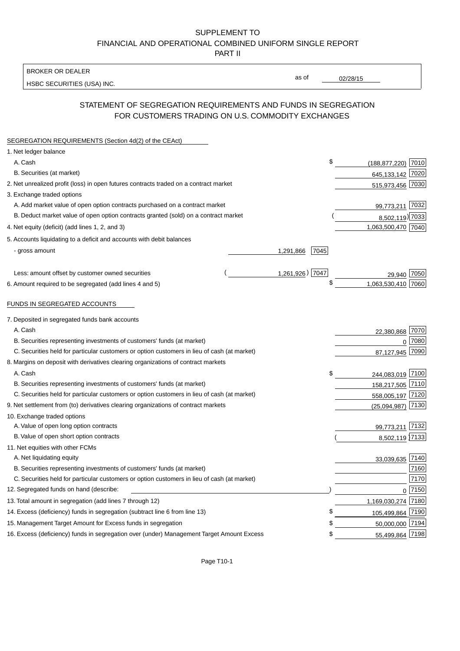## SUPPLEMENT TO FINANCIAL AND OPERATIONAL COMBINED UNIFORM SINGLE REPORT PART II

BROKER OR DEALER

HSBC SECURITIES (USA) INC.

02/28/15

as of

# STATEMENT OF SEGREGATION REQUIREMENTS AND FUNDS IN SEGREGATION FOR CUSTOMERS TRADING ON U.S. COMMODITY EXCHANGES

| SEGREGATION REQUIREMENTS (Section 4d(2) of the CEAct)                                       |                   |                        |        |
|---------------------------------------------------------------------------------------------|-------------------|------------------------|--------|
| 1. Net ledger balance                                                                       |                   |                        |        |
| A. Cash                                                                                     | \$                | $(188, 877, 220)$ 7010 |        |
| B. Securities (at market)                                                                   |                   | 645,133,142 7020       |        |
| 2. Net unrealized profit (loss) in open futures contracts traded on a contract market       |                   | 515,973,456 7030       |        |
| 3. Exchange traded options                                                                  |                   |                        |        |
| A. Add market value of open option contracts purchased on a contract market                 |                   | 99,773,211 7032        |        |
| B. Deduct market value of open option contracts granted (sold) on a contract market         |                   | 8,502,119) 7033        |        |
| 4. Net equity (deficit) (add lines 1, 2, and 3)                                             |                   | 1,063,500,470 7040     |        |
| 5. Accounts liquidating to a deficit and accounts with debit balances                       |                   |                        |        |
| - gross amount                                                                              | 7045<br>1,291,866 |                        |        |
|                                                                                             |                   |                        |        |
| Less: amount offset by customer owned securities                                            | 1,261,926) 7047   | 29,940                 | 7050   |
| 6. Amount required to be segregated (add lines 4 and 5)                                     | \$                | 1,063,530,410 7060     |        |
| FUNDS IN SEGREGATED ACCOUNTS                                                                |                   |                        |        |
| 7. Deposited in segregated funds bank accounts                                              |                   |                        |        |
| A. Cash                                                                                     |                   | 22,380,868             | 7070   |
| B. Securities representing investments of customers' funds (at market)                      |                   | $\Omega$               | 7080   |
| C. Securities held for particular customers or option customers in lieu of cash (at market) |                   | 87,127,945             | 7090   |
| 8. Margins on deposit with derivatives clearing organizations of contract markets           |                   |                        |        |
| A. Cash                                                                                     | \$                | 244,083,019 7100       |        |
| B. Securities representing investments of customers' funds (at market)                      |                   | 158,217,505 7110       |        |
| C. Securities held for particular customers or option customers in lieu of cash (at market) |                   | 558,005,197 7120       |        |
| 9. Net settlement from (to) derivatives clearing organizations of contract markets          |                   | (25,094,987)           | 7130   |
| 10. Exchange traded options                                                                 |                   |                        |        |
| A. Value of open long option contracts                                                      |                   | 99,773,211             | 7132   |
| B. Value of open short option contracts                                                     |                   | 8,502,119 7133         |        |
| 11. Net equities with other FCMs                                                            |                   |                        |        |
| A. Net liquidating equity                                                                   |                   | 33,039,635 7140        |        |
| B. Securities representing investments of customers' funds (at market)                      |                   |                        | 7160   |
| C. Securities held for particular customers or option customers in lieu of cash (at market) |                   |                        | 7170   |
| 12. Segregated funds on hand (describe:                                                     |                   |                        | 0 7150 |
| 13. Total amount in segregation (add lines 7 through 12)                                    |                   | 1,169,030,274 7180     |        |
| 14. Excess (deficiency) funds in segregation (subtract line 6 from line 13)                 | S                 | 105,499,864 7190       |        |
| 15. Management Target Amount for Excess funds in segregation                                | \$                | 50,000,000 7194        |        |
| 16. Excess (deficiency) funds in segregation over (under) Management Target Amount Excess   | \$                | 55,499,864 7198        |        |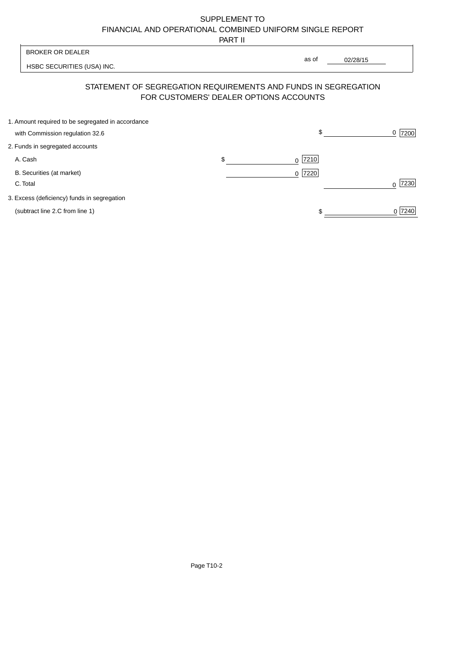# SUPPLEMENT TO FINANCIAL AND OPERATIONAL COMBINED UNIFORM SINGLE REPORT

PART II

|                                                   | .  |           |                                                                                                                   |
|---------------------------------------------------|----|-----------|-------------------------------------------------------------------------------------------------------------------|
| <b>BROKER OR DEALER</b>                           |    |           |                                                                                                                   |
| HSBC SECURITIES (USA) INC.                        |    |           | 02/28/15<br>\$<br>7200<br>0<br>7230<br>$\Omega$<br>0 7240                                                         |
|                                                   |    |           |                                                                                                                   |
| 1. Amount required to be segregated in accordance |    |           |                                                                                                                   |
| with Commission regulation 32.6                   |    |           |                                                                                                                   |
| 2. Funds in segregated accounts                   |    |           |                                                                                                                   |
| A. Cash                                           | \$ | 7210<br>0 |                                                                                                                   |
| B. Securities (at market)                         |    | 7220<br>0 |                                                                                                                   |
| C. Total                                          |    |           |                                                                                                                   |
| 3. Excess (deficiency) funds in segregation       |    |           |                                                                                                                   |
| (subtract line 2.C from line 1)                   |    |           |                                                                                                                   |
|                                                   |    |           | as of<br>STATEMENT OF SEGREGATION REQUIREMENTS AND FUNDS IN SEGREGATION<br>FOR CUSTOMERS' DEALER OPTIONS ACCOUNTS |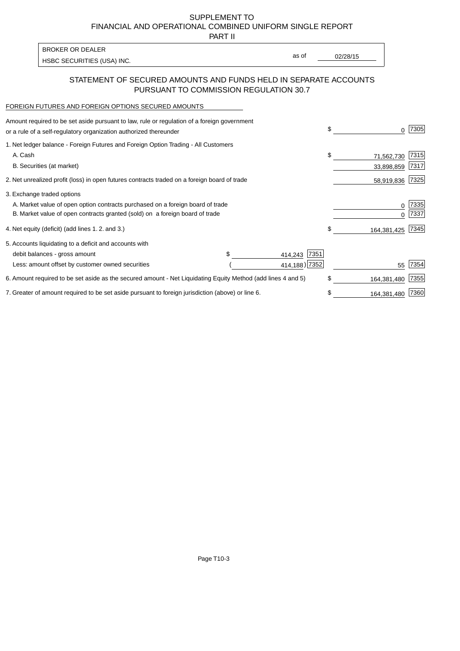SUPPLEMENT TO FINANCIAL AND OPERATIONAL COMBINED UNIFORM SINGLE REPORT

PART II

| <b>BROKER OR DEALER</b>    |       |          |
|----------------------------|-------|----------|
| HSBC SECURITIES (USA) INC. | as of | 02/28/15 |
|                            |       |          |

## STATEMENT OF SECURED AMOUNTS AND FUNDS HELD IN SEPARATE ACCOUNTS PURSUANT TO COMMISSION REGULATION 30.7

#### FOREIGN FUTURES AND FOREIGN OPTIONS SECURED AMOUNTS

| Amount required to be set aside pursuant to law, rule or regulation of a foreign government<br>or a rule of a self-regulatory organization authorized thereunder |                 | \$<br>O.          | 7305 |
|------------------------------------------------------------------------------------------------------------------------------------------------------------------|-----------------|-------------------|------|
| 1. Net ledger balance - Foreign Futures and Foreign Option Trading - All Customers                                                                               |                 |                   |      |
| A. Cash                                                                                                                                                          |                 | \$<br>71,562,730  | 7315 |
| B. Securities (at market)                                                                                                                                        |                 | 33,898,859        | 7317 |
| 2. Net unrealized profit (loss) in open futures contracts traded on a foreign board of trade                                                                     |                 | 58,919,836        | 7325 |
| 3. Exchange traded options                                                                                                                                       |                 |                   |      |
| A. Market value of open option contracts purchased on a foreign board of trade                                                                                   |                 | 0                 | 7335 |
| B. Market value of open contracts granted (sold) on a foreign board of trade                                                                                     |                 |                   | 7337 |
| 4. Net equity (deficit) (add lines 1. 2. and 3.)                                                                                                                 |                 | \$<br>164,381,425 | 7345 |
| 5. Accounts liquidating to a deficit and accounts with                                                                                                           |                 |                   |      |
| debit balances - gross amount                                                                                                                                    | 7351<br>414,243 |                   |      |
| Less: amount offset by customer owned securities                                                                                                                 | 414,188) 7352   | 55                | 7354 |
| 6. Amount required to be set aside as the secured amount - Net Liquidating Equity Method (add lines 4 and 5)                                                     |                 | \$<br>164,381,480 | 7355 |
| 7. Greater of amount required to be set aside pursuant to foreign jurisdiction (above) or line 6.                                                                |                 | \$<br>164,381,480 | 7360 |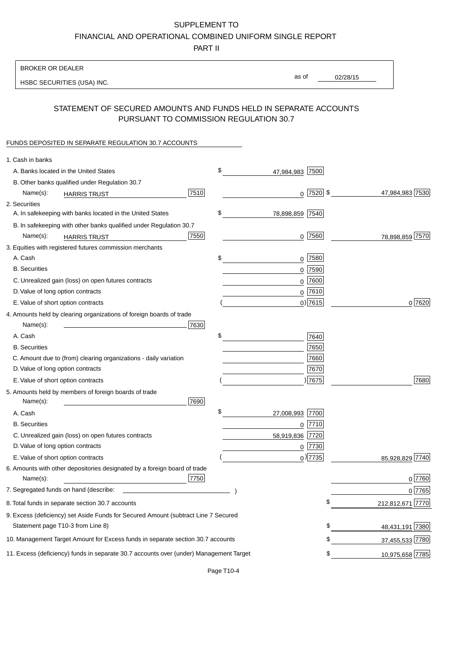# SUPPLEMENT TO

FINANCIAL AND OPERATIONAL COMBINED UNIFORM SINGLE REPORT

PART II

## BROKER OR DEALER

HSBC SECURITIES (USA) INC.

02/28/15 as of

# STATEMENT OF SECURED AMOUNTS AND FUNDS HELD IN SEPARATE ACCOUNTS PURSUANT TO COMMISSION REGULATION 30.7

#### FUNDS DEPOSITED IN SEPARATE REGULATION 30.7 ACCOUNTS

| 1. Cash in banks                                                                       |                       |              |                    |
|----------------------------------------------------------------------------------------|-----------------------|--------------|--------------------|
| A. Banks located in the United States                                                  | \$<br>47,984,983      | 7500         |                    |
| B. Other banks qualified under Regulation 30.7                                         |                       |              |                    |
| 7510<br>Name(s):<br><b>HARRIS TRUST</b>                                                |                       | $0$  7520 \$ | 47,984,983 7530    |
| 2. Securities                                                                          |                       |              |                    |
| A. In safekeeping with banks located in the United States                              | \$<br>78,898,859 7540 |              |                    |
| B. In safekeeping with other banks qualified under Regulation 30.7                     |                       |              |                    |
| 7550<br>Name(s):<br><b>HARRIS TRUST</b>                                                |                       | $0$  7560    | 78,898,859 7570    |
| 3. Equities with registered futures commission merchants                               |                       |              |                    |
| A. Cash                                                                                | \$                    | $0$   7580   |                    |
| <b>B.</b> Securities                                                                   | 0                     | 7590         |                    |
| C. Unrealized gain (loss) on open futures contracts                                    | 0                     | 7600         |                    |
| D. Value of long option contracts                                                      |                       | $0$ 7610     |                    |
| E. Value of short option contracts                                                     |                       | $0$ ) 7615   | 0 7620             |
| 4. Amounts held by clearing organizations of foreign boards of trade                   |                       |              |                    |
| Name(s):<br>7630                                                                       |                       |              |                    |
| A. Cash                                                                                | \$                    | 7640         |                    |
| <b>B.</b> Securities                                                                   |                       | 7650         |                    |
| C. Amount due to (from) clearing organizations - daily variation                       |                       | 7660         |                    |
| D. Value of long option contracts                                                      |                       | 7670         |                    |
| E. Value of short option contracts                                                     |                       | ) 7675       | 7680               |
| 5. Amounts held by members of foreign boards of trade                                  |                       |              |                    |
| Name(s):<br>7690                                                                       |                       |              |                    |
| A. Cash                                                                                | \$<br>27,008,993      | 7700         |                    |
| <b>B.</b> Securities                                                                   |                       | $0$  7710    |                    |
| C. Unrealized gain (loss) on open futures contracts                                    | 58,919,836 7720       |              |                    |
| D. Value of long option contracts                                                      |                       | 0 7730       |                    |
| E. Value of short option contracts                                                     |                       | $0$ ) 7735   | 7740<br>85,928,829 |
| 6. Amounts with other depositories designated by a foreign board of trade              |                       |              |                    |
| 7750<br>Name(s):                                                                       |                       |              | $0^{7760}$         |
| 7. Segregated funds on hand (describe:                                                 |                       |              | 0 7765             |
| 8. Total funds in separate section 30.7 accounts                                       |                       | \$           | 212,812,671 7770   |
| 9. Excess (deficiency) set Aside Funds for Secured Amount (subtract Line 7 Secured     |                       |              |                    |
| Statement page T10-3 from Line 8)                                                      |                       | \$           | 48,431,191 7380    |
| 10. Management Target Amount for Excess funds in separate section 30.7 accounts        |                       | \$           | 37,455,533 7780    |
| 11. Excess (deficiency) funds in separate 30.7 accounts over (under) Management Target |                       | \$           | 10,975,658 7785    |
|                                                                                        |                       |              |                    |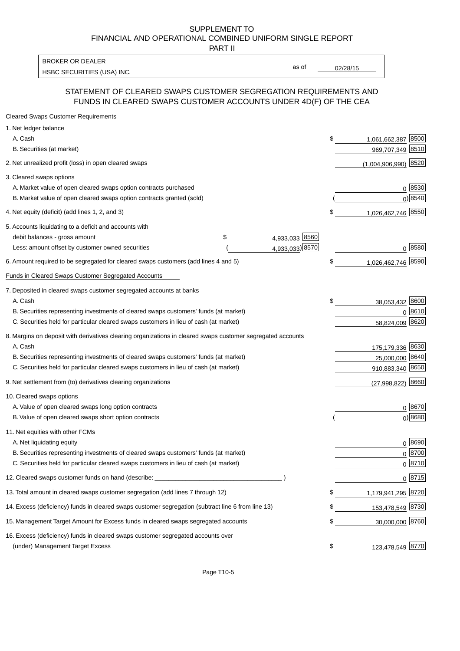#### SUPPLEMENT TO FINANCIAL AND OPERATIONAL COMBINED UNIFORM SINGLE REPORT PART II

HSBC SECURITIES (USA) INC. The contract of the contract of the contract of the contract of the contract of the contract of the contract of the contract of the contract of the contract of the contract of the contract of the BROKER OR DEALER

as of

## STATEMENT OF CLEARED SWAPS CUSTOMER SEGREGATION REQUIREMENTS AND FUNDS IN CLEARED SWAPS CUSTOMER ACCOUNTS UNDER 4D(F) OF THE CEA

| <b>Cleared Swaps Customer Requirements</b>                                                                  |                     |                             |
|-------------------------------------------------------------------------------------------------------------|---------------------|-----------------------------|
| 1. Net ledger balance                                                                                       |                     |                             |
| A. Cash                                                                                                     |                     | \$<br>8500<br>1,061,662,387 |
| B. Securities (at market)                                                                                   |                     | 969,707,349 8510            |
| 2. Net unrealized profit (loss) in open cleared swaps                                                       |                     | $(1,004,906,990)$ 8520      |
| 3. Cleared swaps options                                                                                    |                     |                             |
| A. Market value of open cleared swaps option contracts purchased                                            |                     | 0 8530                      |
| B. Market value of open cleared swaps option contracts granted (sold)                                       |                     | 0 8540                      |
| 4. Net equity (deficit) (add lines 1, 2, and 3)                                                             |                     | \$<br>1,026,462,746 8550    |
| 5. Accounts liquidating to a deficit and accounts with                                                      |                     |                             |
| debit balances - gross amount                                                                               | 4,933,033 8560<br>S |                             |
| Less: amount offset by customer owned securities                                                            | 4,933,033) 8570     | 0 8580                      |
| 6. Amount required to be segregated for cleared swaps customers (add lines 4 and 5)                         |                     | \$<br>1,026,462,746 8590    |
| Funds in Cleared Swaps Customer Segregated Accounts                                                         |                     |                             |
| 7. Deposited in cleared swaps customer segregated accounts at banks                                         |                     |                             |
| A. Cash                                                                                                     |                     | \$<br>38,053,432 8600       |
| B. Securities representing investments of cleared swaps customers' funds (at market)                        |                     | $0^{8610}$                  |
| C. Securities held for particular cleared swaps customers in lieu of cash (at market)                       |                     | 58,824,009 8620             |
| 8. Margins on deposit with derivatives clearing organizations in cleared swaps customer segregated accounts |                     |                             |
| A. Cash                                                                                                     |                     | 175,179,336 8630            |
| B. Securities representing investments of cleared swaps customers' funds (at market)                        |                     | 25,000,000 8640             |
| C. Securities held for particular cleared swaps customers in lieu of cash (at market)                       |                     | 910,883,340 8650            |
| 9. Net settlement from (to) derivatives clearing organizations                                              |                     | 8660<br>(27,998,822)        |
| 10. Cleared swaps options                                                                                   |                     |                             |
| A. Value of open cleared swaps long option contracts                                                        |                     | $0^{8670}$                  |
| B. Value of open cleared swaps short option contracts                                                       |                     | $0$ ) 8680                  |
| 11. Net equities with other FCMs                                                                            |                     |                             |
| A. Net liquidating equity                                                                                   |                     | $0^{8690}$                  |
| B. Securities representing investments of cleared swaps customers' funds (at market)                        |                     | 0 8700                      |
| C. Securities held for particular cleared swaps customers in lieu of cash (at market)                       |                     | 0 8710                      |
| 12. Cleared swaps customer funds on hand (describe: _                                                       |                     | $0 \, 8715$                 |
| 13. Total amount in cleared swaps customer segregation (add lines 7 through 12)                             |                     | \$<br>1,179,941,295 8720    |
| 14. Excess (deficiency) funds in cleared swaps customer segregation (subtract line 6 from line 13)          |                     | \$<br>153,478,549 8730      |
| 15. Management Target Amount for Excess funds in cleared swaps segregated accounts                          |                     | \$<br>30,000,000 8760       |
| 16. Excess (deficiency) funds in cleared swaps customer segregated accounts over                            |                     |                             |
| (under) Management Target Excess                                                                            |                     | \$<br>123,478,549 8770      |